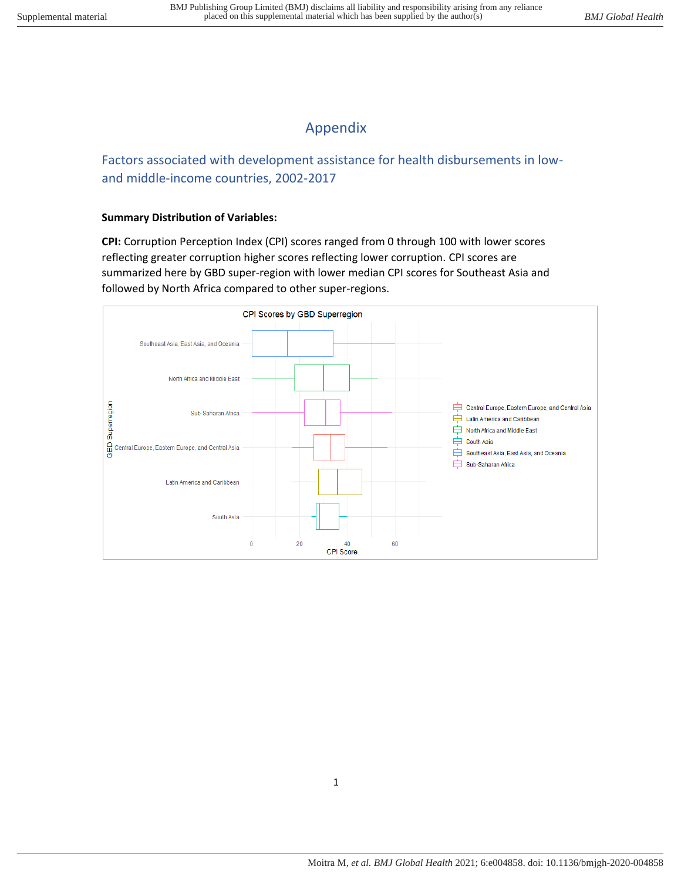## Appendix

Factors associated with development assistance for health disbursements in lowand middle-income countries, 2002-2017

## **Summary Distribution of Variables:**

**CPI:** Corruption Perception Index (CPI) scores ranged from 0 through 100 with lower scores reflecting greater corruption higher scores reflecting lower corruption. CPI scores are summarized here by GBD super-region with lower median CPI scores for Southeast Asia and followed by North Africa compared to other super-regions.

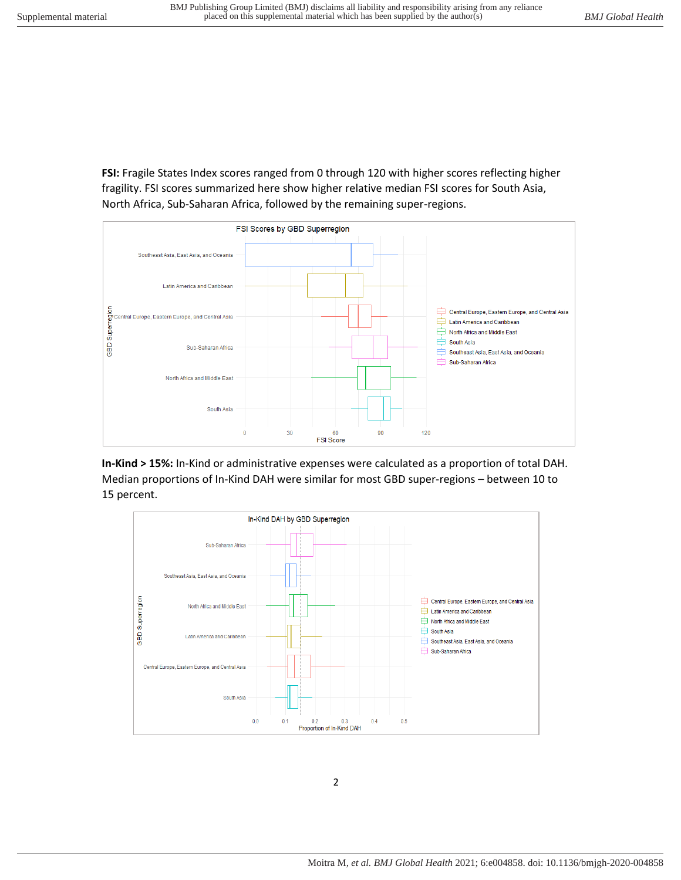**FSI:** Fragile States Index scores ranged from 0 through 120 with higher scores reflecting higher fragility. FSI scores summarized here show higher relative median FSI scores for South Asia, North Africa, Sub-Saharan Africa, followed by the remaining super-regions.



**In-Kind > 15%:** In-Kind or administrative expenses were calculated as a proportion of total DAH. Median proportions of In-Kind DAH were similar for most GBD super-regions – between 10 to 15 percent.

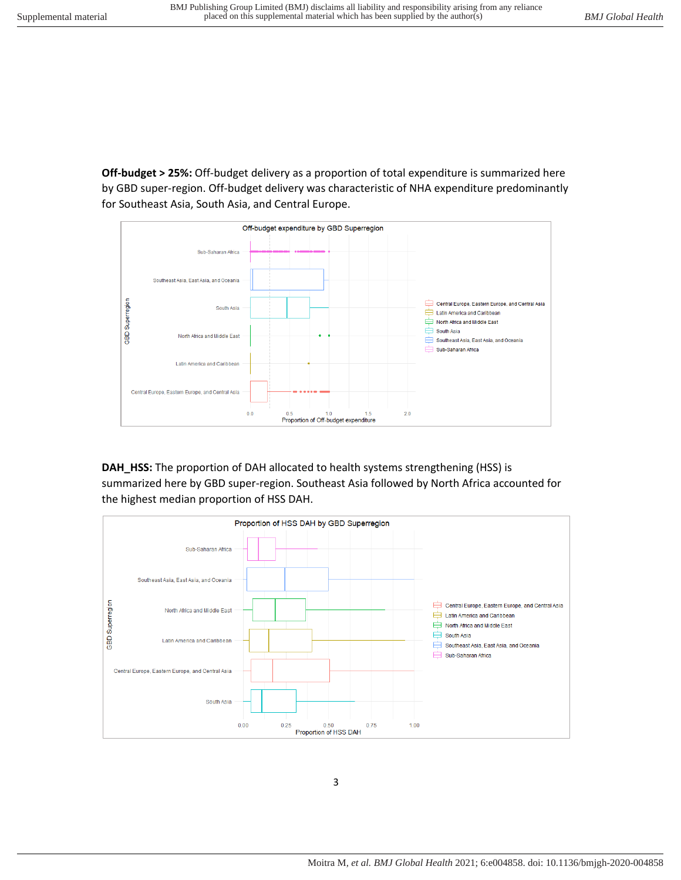**Off-budget > 25%:** Off-budget delivery as a proportion of total expenditure is summarized here by GBD super-region. Off-budget delivery was characteristic of NHA expenditure predominantly for Southeast Asia, South Asia, and Central Europe.



**DAH\_HSS:** The proportion of DAH allocated to health systems strengthening (HSS) is summarized here by GBD super-region. Southeast Asia followed by North Africa accounted for the highest median proportion of HSS DAH.



3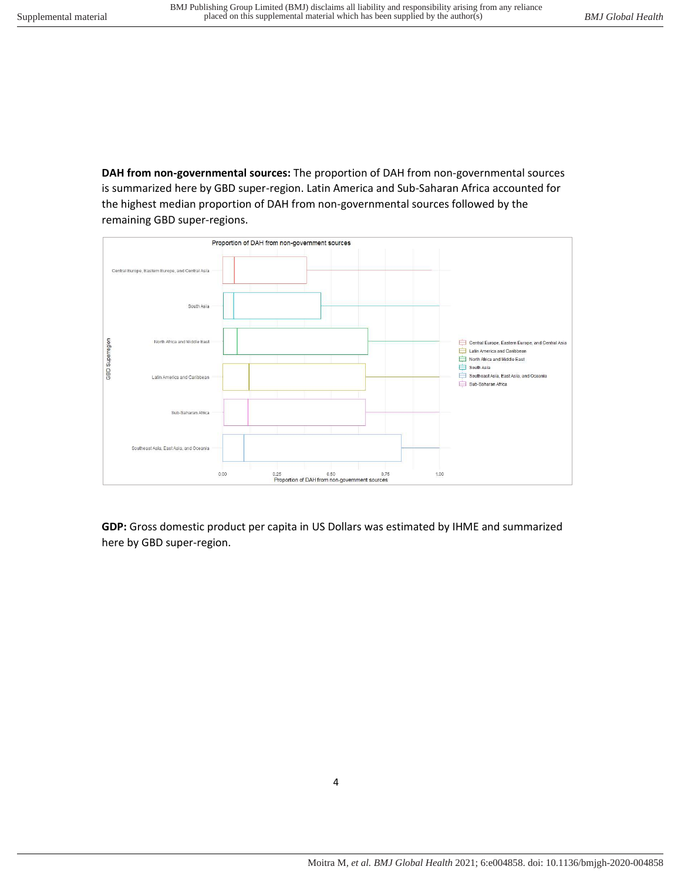**DAH from non-governmental sources:** The proportion of DAH from non-governmental sources is summarized here by GBD super-region. Latin America and Sub-Saharan Africa accounted for the highest median proportion of DAH from non-governmental sources followed by the remaining GBD super-regions.



**GDP:** Gross domestic product per capita in US Dollars was estimated by IHME and summarized here by GBD super-region.

4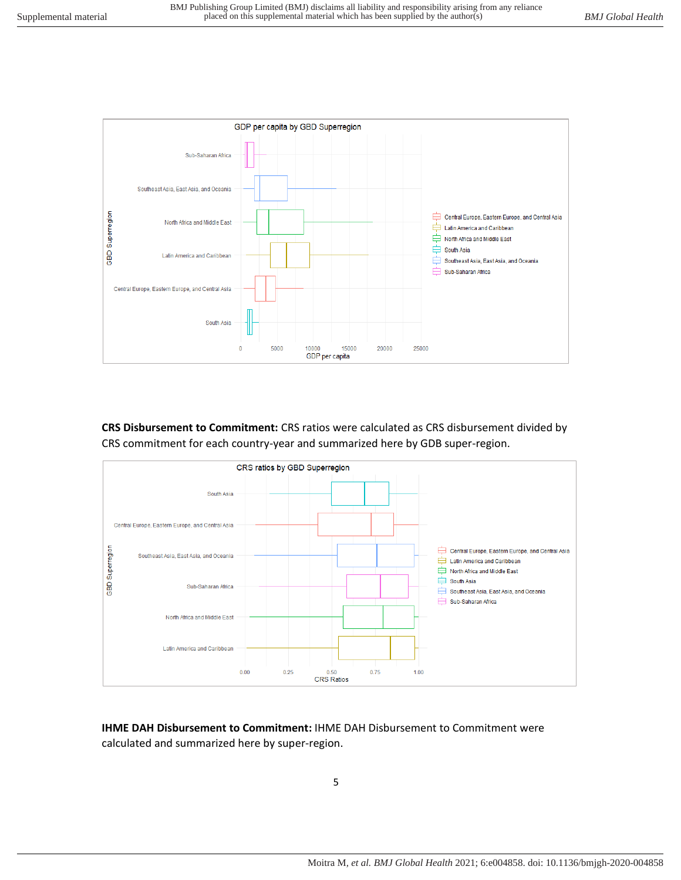

**CRS Disbursement to Commitment:** CRS ratios were calculated as CRS disbursement divided by CRS commitment for each country-year and summarized here by GDB super-region.



**IHME DAH Disbursement to Commitment:** IHME DAH Disbursement to Commitment were calculated and summarized here by super-region.

5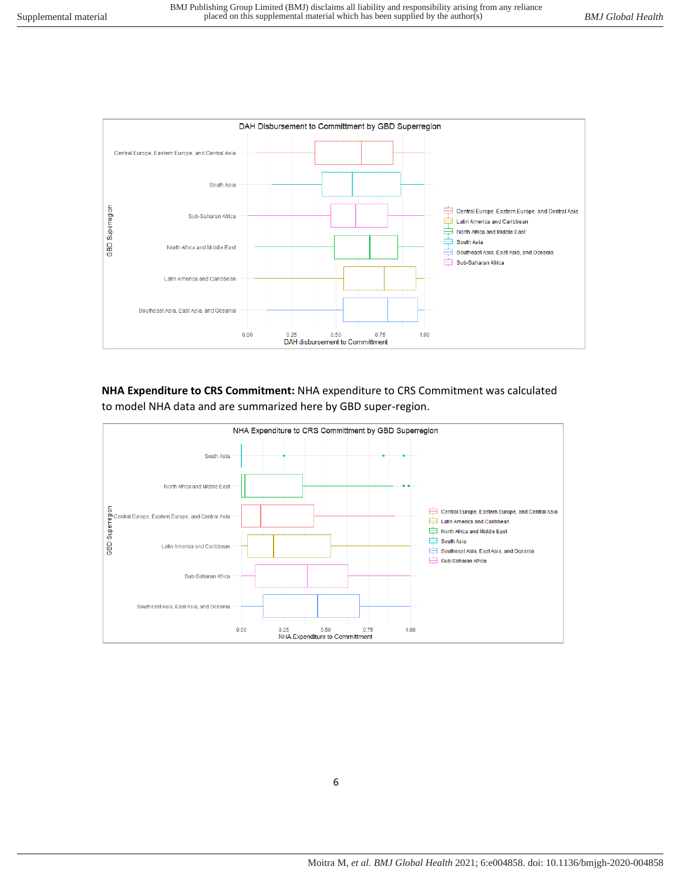

**NHA Expenditure to CRS Commitment:** NHA expenditure to CRS Commitment was calculated to model NHA data and are summarized here by GBD super-region.